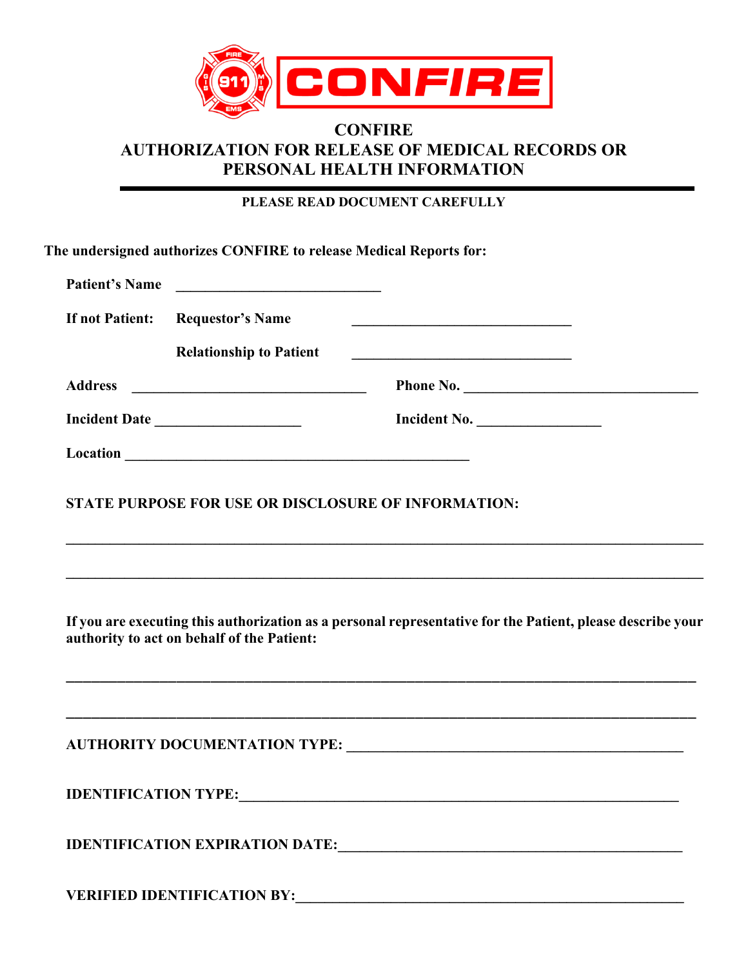

## **CONFIRE AUTHORIZATION FOR RELEASE OF MEDICAL RECORDS OR PERSONAL HEALTH INFORMATION**

**PLEASE READ DOCUMENT CAREFULLY**

**The undersigned authorizes CONFIRE to release Medical Reports for:**

|                 | Patient's Name                                                                                    |                                                                                                                                                                                                |  |
|-----------------|---------------------------------------------------------------------------------------------------|------------------------------------------------------------------------------------------------------------------------------------------------------------------------------------------------|--|
| If not Patient: | <b>Requestor's Name</b><br><b>Relationship to Patient</b>                                         |                                                                                                                                                                                                |  |
|                 |                                                                                                   | <u> 1989 - Johann Barn, fransk politik (d. 1989)</u>                                                                                                                                           |  |
| <b>Address</b>  |                                                                                                   | Phone No.                                                                                                                                                                                      |  |
|                 | Incident Date                                                                                     | Incident No.                                                                                                                                                                                   |  |
|                 |                                                                                                   |                                                                                                                                                                                                |  |
|                 | STATE PURPOSE FOR USE OR DISCLOSURE OF INFORMATION:<br>authority to act on behalf of the Patient: | ,我们也不会有什么。""我们的人,我们也不会有什么?""我们的人,我们也不会有什么?""我们的人,我们也不会有什么?""我们的人,我们也不会有什么?""我们的人<br>If you are executing this authorization as a personal representative for the Patient, please describe your |  |
|                 |                                                                                                   |                                                                                                                                                                                                |  |
|                 |                                                                                                   |                                                                                                                                                                                                |  |
|                 |                                                                                                   |                                                                                                                                                                                                |  |
|                 |                                                                                                   |                                                                                                                                                                                                |  |
|                 | <b>VERIFIED IDENTIFICATION BY:</b>                                                                |                                                                                                                                                                                                |  |